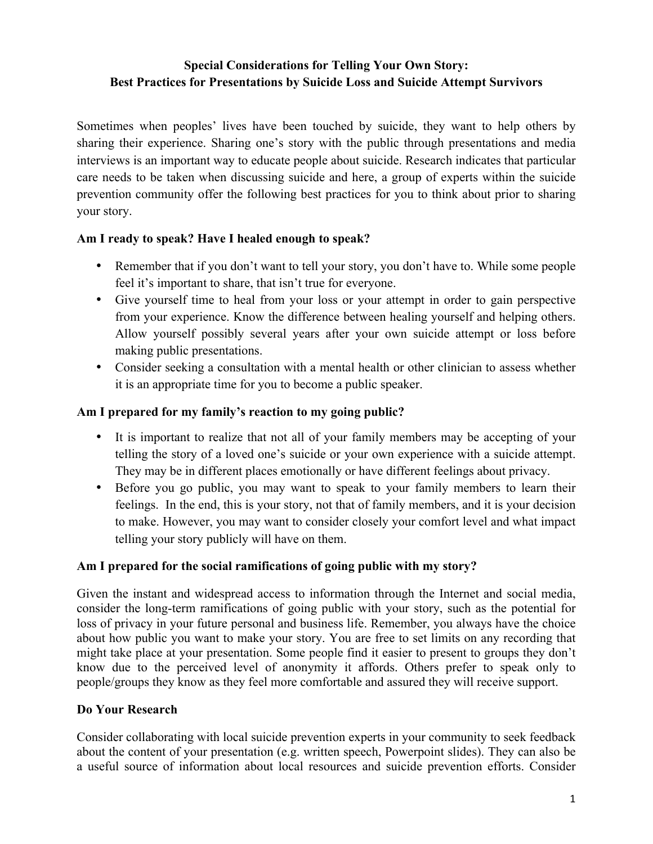# **Special Considerations for Telling Your Own Story: Best Practices for Presentations by Suicide Loss and Suicide Attempt Survivors**

Sometimes when peoples' lives have been touched by suicide, they want to help others by sharing their experience. Sharing one's story with the public through presentations and media interviews is an important way to educate people about suicide. Research indicates that particular care needs to be taken when discussing suicide and here, a group of experts within the suicide prevention community offer the following best practices for you to think about prior to sharing your story.

### **Am I ready to speak? Have I healed enough to speak?**

- Remember that if you don't want to tell your story, you don't have to. While some people feel it's important to share, that isn't true for everyone.
- Give yourself time to heal from your loss or your attempt in order to gain perspective from your experience. Know the difference between healing yourself and helping others. Allow yourself possibly several years after your own suicide attempt or loss before making public presentations.
- Consider seeking a consultation with a mental health or other clinician to assess whether it is an appropriate time for you to become a public speaker.

## **Am I prepared for my family's reaction to my going public?**

- It is important to realize that not all of your family members may be accepting of your telling the story of a loved one's suicide or your own experience with a suicide attempt. They may be in different places emotionally or have different feelings about privacy.
- Before you go public, you may want to speak to your family members to learn their feelings. In the end, this is your story, not that of family members, and it is your decision to make. However, you may want to consider closely your comfort level and what impact telling your story publicly will have on them.

## **Am I prepared for the social ramifications of going public with my story?**

Given the instant and widespread access to information through the Internet and social media, consider the long-term ramifications of going public with your story, such as the potential for loss of privacy in your future personal and business life. Remember, you always have the choice about how public you want to make your story. You are free to set limits on any recording that might take place at your presentation. Some people find it easier to present to groups they don't know due to the perceived level of anonymity it affords. Others prefer to speak only to people/groups they know as they feel more comfortable and assured they will receive support.

### **Do Your Research**

Consider collaborating with local suicide prevention experts in your community to seek feedback about the content of your presentation (e.g. written speech, Powerpoint slides). They can also be a useful source of information about local resources and suicide prevention efforts. Consider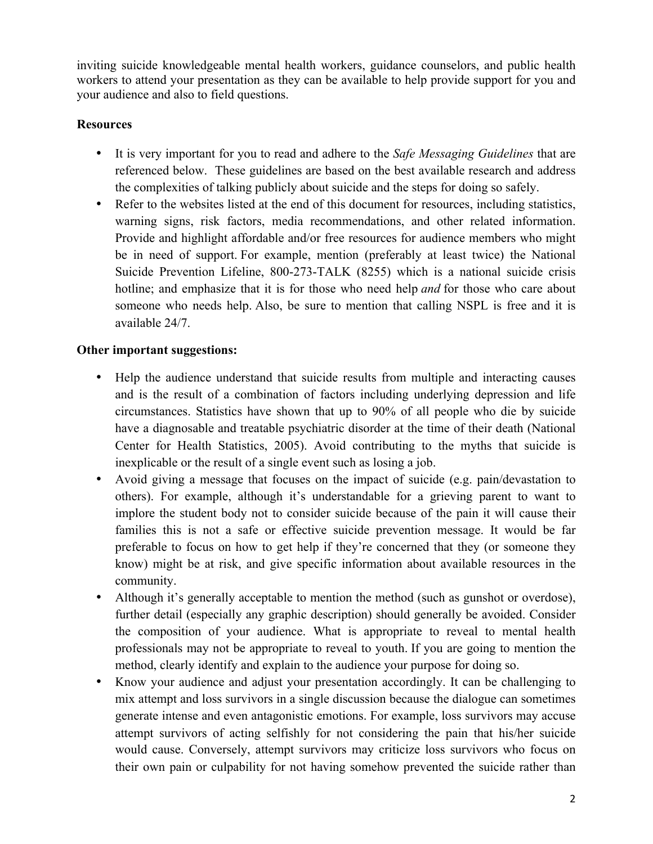inviting suicide knowledgeable mental health workers, guidance counselors, and public health workers to attend your presentation as they can be available to help provide support for you and your audience and also to field questions.

## **Resources**

- It is very important for you to read and adhere to the *Safe Messaging Guidelines* that are referenced below. These guidelines are based on the best available research and address the complexities of talking publicly about suicide and the steps for doing so safely.
- Refer to the websites listed at the end of this document for resources, including statistics, warning signs, risk factors, media recommendations, and other related information. Provide and highlight affordable and/or free resources for audience members who might be in need of support. For example, mention (preferably at least twice) the National Suicide Prevention Lifeline, 800-273-TALK (8255) which is a national suicide crisis hotline; and emphasize that it is for those who need help *and* for those who care about someone who needs help. Also, be sure to mention that calling NSPL is free and it is available 24/7.

## **Other important suggestions:**

- Help the audience understand that suicide results from multiple and interacting causes and is the result of a combination of factors including underlying depression and life circumstances. Statistics have shown that up to 90% of all people who die by suicide have a diagnosable and treatable psychiatric disorder at the time of their death (National Center for Health Statistics, 2005). Avoid contributing to the myths that suicide is inexplicable or the result of a single event such as losing a job.
- Avoid giving a message that focuses on the impact of suicide (e.g. pain/devastation to others). For example, although it's understandable for a grieving parent to want to implore the student body not to consider suicide because of the pain it will cause their families this is not a safe or effective suicide prevention message. It would be far preferable to focus on how to get help if they're concerned that they (or someone they know) might be at risk, and give specific information about available resources in the community.
- Although it's generally acceptable to mention the method (such as gunshot or overdose), further detail (especially any graphic description) should generally be avoided. Consider the composition of your audience. What is appropriate to reveal to mental health professionals may not be appropriate to reveal to youth. If you are going to mention the method, clearly identify and explain to the audience your purpose for doing so.
- Know your audience and adjust your presentation accordingly. It can be challenging to mix attempt and loss survivors in a single discussion because the dialogue can sometimes generate intense and even antagonistic emotions. For example, loss survivors may accuse attempt survivors of acting selfishly for not considering the pain that his/her suicide would cause. Conversely, attempt survivors may criticize loss survivors who focus on their own pain or culpability for not having somehow prevented the suicide rather than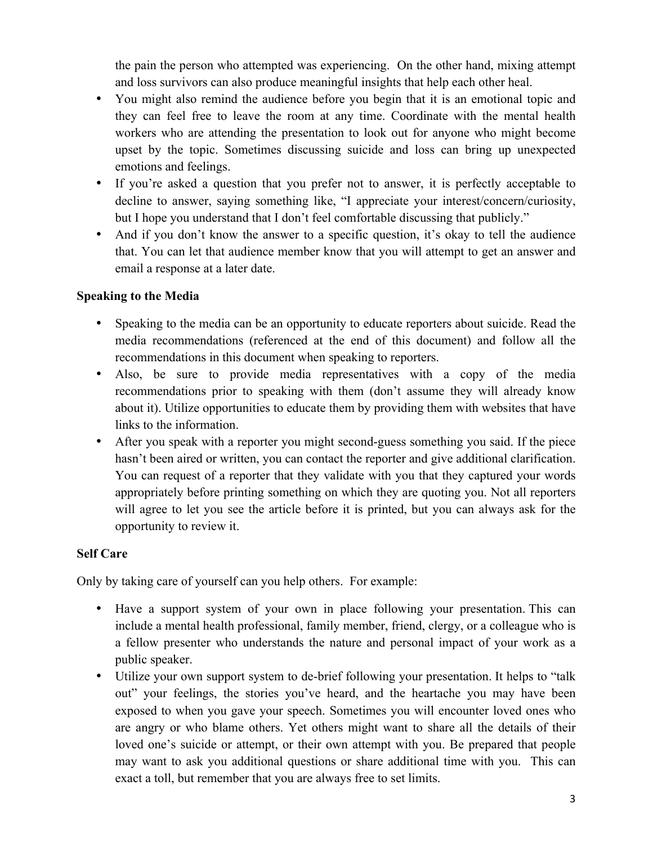the pain the person who attempted was experiencing. On the other hand, mixing attempt and loss survivors can also produce meaningful insights that help each other heal.

- You might also remind the audience before you begin that it is an emotional topic and they can feel free to leave the room at any time. Coordinate with the mental health workers who are attending the presentation to look out for anyone who might become upset by the topic. Sometimes discussing suicide and loss can bring up unexpected emotions and feelings.
- If you're asked a question that you prefer not to answer, it is perfectly acceptable to decline to answer, saying something like, "I appreciate your interest/concern/curiosity, but I hope you understand that I don't feel comfortable discussing that publicly."
- And if you don't know the answer to a specific question, it's okay to tell the audience that. You can let that audience member know that you will attempt to get an answer and email a response at a later date.

## **Speaking to the Media**

- Speaking to the media can be an opportunity to educate reporters about suicide. Read the media recommendations (referenced at the end of this document) and follow all the recommendations in this document when speaking to reporters.
- Also, be sure to provide media representatives with a copy of the media recommendations prior to speaking with them (don't assume they will already know about it). Utilize opportunities to educate them by providing them with websites that have links to the information.
- After you speak with a reporter you might second-guess something you said. If the piece hasn't been aired or written, you can contact the reporter and give additional clarification. You can request of a reporter that they validate with you that they captured your words appropriately before printing something on which they are quoting you. Not all reporters will agree to let you see the article before it is printed, but you can always ask for the opportunity to review it.

### **Self Care**

Only by taking care of yourself can you help others. For example:

- Have a support system of your own in place following your presentation. This can include a mental health professional, family member, friend, clergy, or a colleague who is a fellow presenter who understands the nature and personal impact of your work as a public speaker.
- Utilize your own support system to de-brief following your presentation. It helps to "talk out" your feelings, the stories you've heard, and the heartache you may have been exposed to when you gave your speech. Sometimes you will encounter loved ones who are angry or who blame others. Yet others might want to share all the details of their loved one's suicide or attempt, or their own attempt with you. Be prepared that people may want to ask you additional questions or share additional time with you. This can exact a toll, but remember that you are always free to set limits.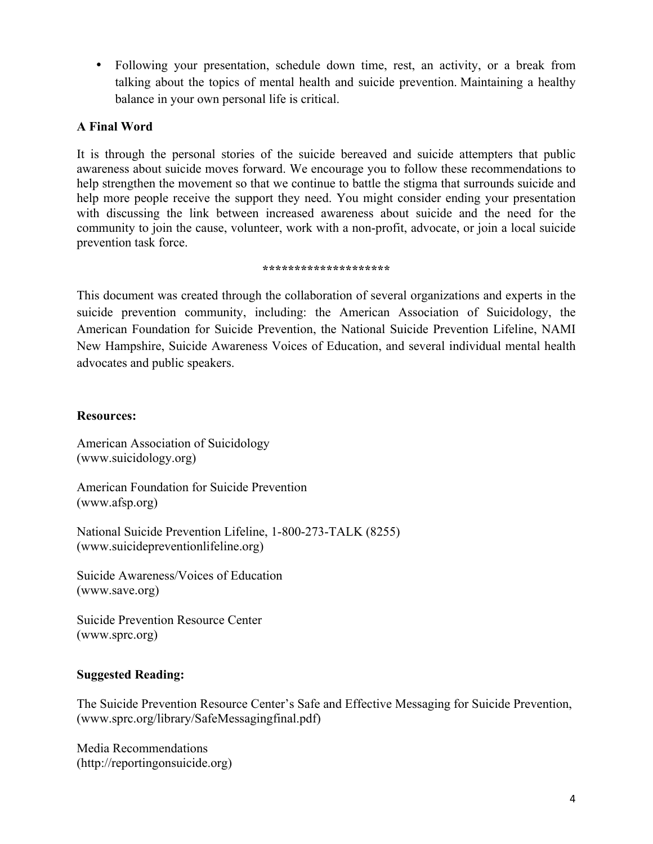• Following your presentation, schedule down time, rest, an activity, or a break from talking about the topics of mental health and suicide prevention. Maintaining a healthy balance in your own personal life is critical.

## **A Final Word**

It is through the personal stories of the suicide bereaved and suicide attempters that public awareness about suicide moves forward. We encourage you to follow these recommendations to help strengthen the movement so that we continue to battle the stigma that surrounds suicide and help more people receive the support they need. You might consider ending your presentation with discussing the link between increased awareness about suicide and the need for the community to join the cause, volunteer, work with a non-profit, advocate, or join a local suicide prevention task force.

#### **\*\*\*\*\*\*\*\*\*\*\*\*\*\*\*\*\*\*\*\***

This document was created through the collaboration of several organizations and experts in the suicide prevention community, including: the American Association of Suicidology, the American Foundation for Suicide Prevention, the National Suicide Prevention Lifeline, NAMI New Hampshire, Suicide Awareness Voices of Education, and several individual mental health advocates and public speakers.

#### **Resources:**

American Association of Suicidology (www.suicidology.org)

American Foundation for Suicide Prevention (www.afsp.org)

National Suicide Prevention Lifeline, 1-800-273-TALK (8255) (www.suicidepreventionlifeline.org)

Suicide Awareness/Voices of Education (www.save.org)

Suicide Prevention Resource Center (www.sprc.org)

### **Suggested Reading:**

The Suicide Prevention Resource Center's Safe and Effective Messaging for Suicide Prevention, (www.sprc.org/library/SafeMessagingfinal.pdf)

Media Recommendations (http://reportingonsuicide.org)